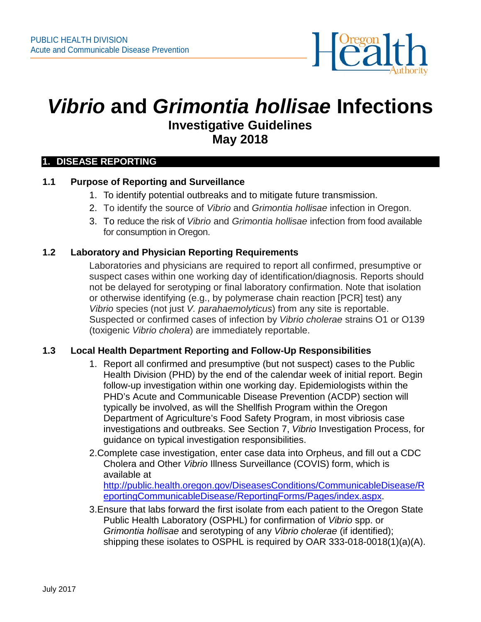

# *Vibrio* **and** *Grimontia hollisae* **Infections Investigative Guidelines May 2018**

#### **1. DISEASE REPORTING**

## **1.1 Purpose of Reporting and Surveillance**

- 1. To identify potential outbreaks and to mitigate future transmission.
- 2. To identify the source of *Vibrio* and *Grimontia hollisae* infection in Oregon.
- 3. To reduce the risk of *Vibrio* and *Grimontia hollisae* infection from food available for consumption in Oregon.

## **1.2 Laboratory and Physician Reporting Requirements**

Laboratories and physicians are required to report all confirmed, presumptive or suspect cases within one working day of identification/diagnosis. Reports should not be delayed for serotyping or final laboratory confirmation. Note that isolation or otherwise identifying (e.g., by polymerase chain reaction [PCR] test) any *Vibrio* species (not just *V. parahaemolyticus*) from any site is reportable. Suspected or confirmed cases of infection by *Vibrio cholerae* strains O1 or O139 (toxigenic *Vibrio cholera*) are immediately reportable.

## **1.3 Local Health Department Reporting and Follow-Up Responsibilities**

- 1. Report all confirmed and presumptive (but not suspect) cases to the Public Health Division (PHD) by the end of the calendar week of initial report. Begin follow-up investigation within one working day. Epidemiologists within the PHD's Acute and Communicable Disease Prevention (ACDP) section will typically be involved, as will the Shellfish Program within the Oregon Department of Agriculture's Food Safety Program, in most vibriosis case investigations and outbreaks. See Section 7, *Vibrio* Investigation Process, for guidance on typical investigation responsibilities.
- 2.Complete case investigation, enter case data into Orpheus, and fill out a CDC Cholera and Other *Vibrio* Illness Surveillance (COVIS) form, which is available at [http://public.health.oregon.gov/DiseasesConditions/CommunicableDisease/R](http://public.health.oregon.gov/DiseasesConditions/CommunicableDisease/ReportingCommunicableDisease/ReportingForms/Pages/index.aspx) [eportingCommunicableDisease/ReportingForms/Pages/index.aspx.](http://public.health.oregon.gov/DiseasesConditions/CommunicableDisease/ReportingCommunicableDisease/ReportingForms/Pages/index.aspx)
- 3.Ensure that labs forward the first isolate from each patient to the Oregon State Public Health Laboratory (OSPHL) for confirmation of *Vibrio* spp. or *Grimontia hollisae* and serotyping of any *Vibrio cholerae* (if identified); shipping these isolates to OSPHL is required by OAR 333-018-0018(1)(a)(A).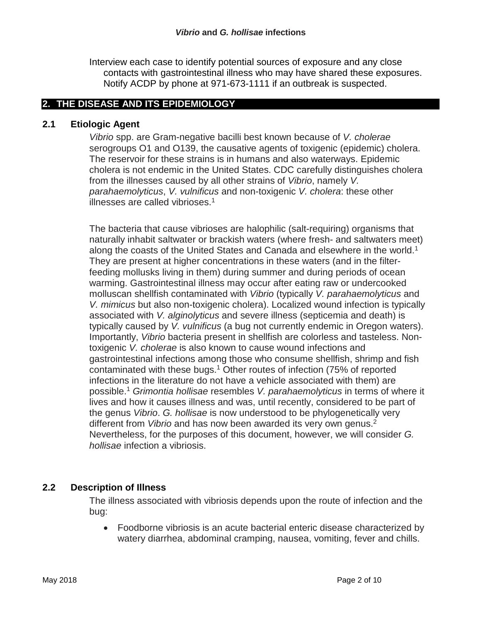Interview each case to identify potential sources of exposure and any close contacts with gastrointestinal illness who may have shared these exposures. Notify ACDP by phone at 971-673-1111 if an outbreak is suspected.

## **2. THE DISEASE AND ITS EPIDEMIOLOGY**

#### **2.1 Etiologic Agent**

*Vibrio* spp. are Gram-negative bacilli best known because of *V. cholerae* serogroups O1 and O139, the causative agents of toxigenic (epidemic) cholera. The reservoir for these strains is in humans and also waterways. Epidemic cholera is not endemic in the United States. CDC carefully distinguishes cholera from the illnesses caused by all other strains of *Vibrio*, namely *V. parahaemolyticus*, *V. vulnificus* and non-toxigenic *V. cholera*: these other illnesses are called vibrioses. 1

The bacteria that cause vibrioses are halophilic (salt-requiring) organisms that naturally inhabit saltwater or brackish waters (where fresh- and saltwaters meet) along the coasts of the United States and Canada and elsewhere in the world. 1 They are present at higher concentrations in these waters (and in the filterfeeding mollusks living in them) during summer and during periods of ocean warming. Gastrointestinal illness may occur after eating raw or undercooked molluscan shellfish contaminated with *Vibrio* (typically *V. parahaemolyticus* and *V. mimicus* but also non-toxigenic cholera). Localized wound infection is typically associated with *V. alginolyticus* and severe illness (septicemia and death) is typically caused by *V. vulnificus* (a bug not currently endemic in Oregon waters). Importantly, *Vibrio* bacteria present in shellfish are colorless and tasteless. Nontoxigenic *V. cholerae* is also known to cause wound infections and gastrointestinal infections among those who consume shellfish, shrimp and fish contaminated with these bugs.1 Other routes of infection (75% of reported infections in the literature do not have a vehicle associated with them) are possible.1 *Grimontia hollisae* resembles *V. parahaemolyticus* in terms of where it lives and how it causes illness and was, until recently, considered to be part of the genus *Vibrio*. *G. hollisae* is now understood to be phylogenetically very different from *Vibrio* and has now been awarded its very own genus. 2 Nevertheless, for the purposes of this document, however, we will consider *G. hollisae* infection a vibriosis.

## **2.2 Description of Illness**

The illness associated with vibriosis depends upon the route of infection and the bug:

• Foodborne vibriosis is an acute bacterial enteric disease characterized by watery diarrhea, abdominal cramping, nausea, vomiting, fever and chills.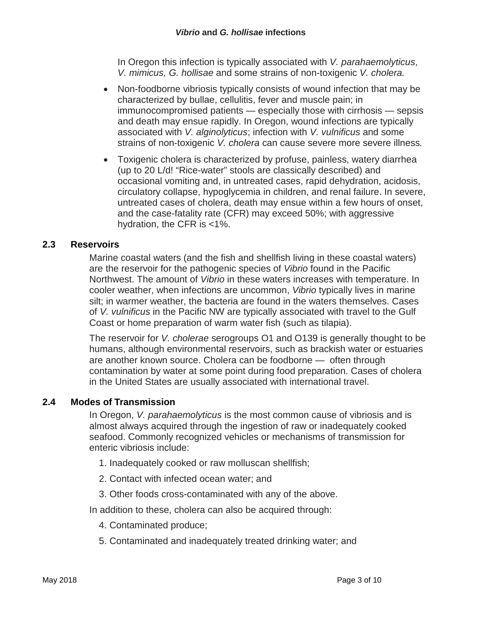In Oregon this infection is typically associated with *V. parahaemolyticus*, *V. mimicus, G. hollisae* and some strains of non-toxigenic *V. cholera.*

- Non-foodborne vibriosis typically consists of wound infection that may be characterized by bullae, cellulitis, fever and muscle pain; in immunocompromised patients — especially those with cirrhosis — sepsis and death may ensue rapidly. In Oregon, wound infections are typically associated with *V. alginolyticus*; infection with *V. vulnificus* and some strains of non-toxigenic *V. cholera* can cause severe more severe illness*.*
- Toxigenic cholera is characterized by profuse, painless, watery diarrhea (up to 20 L/d! "Rice-water" stools are classically described) and occasional vomiting and, in untreated cases, rapid dehydration, acidosis, circulatory collapse, hypoglycemia in children, and renal failure. In severe, untreated cases of cholera, death may ensue within a few hours of onset, and the case-fatality rate (CFR) may exceed 50%; with aggressive hydration, the CFR is <1%.

# **2.3 Reservoirs**

Marine coastal waters (and the fish and shellfish living in these coastal waters) are the reservoir for the pathogenic species of *Vibrio* found in the Pacific Northwest. The amount of *Vibrio* in these waters increases with temperature. In cooler weather, when infections are uncommon, *Vibrio* typically lives in marine silt; in warmer weather, the bacteria are found in the waters themselves. Cases of *V. vulnificus* in the Pacific NW are typically associated with travel to the Gulf Coast or home preparation of warm water fish (such as tilapia).

The reservoir for *V. cholerae* serogroups O1 and O139 is generally thought to be humans, although environmental reservoirs, such as brackish water or estuaries are another known source. Cholera can be foodborne — often through contamination by water at some point during food preparation. Cases of cholera in the United States are usually associated with international travel.

# **2.4 Modes of Transmission**

In Oregon, *V. parahaemolyticus* is the most common cause of vibriosis and is almost always acquired through the ingestion of raw or inadequately cooked seafood. Commonly recognized vehicles or mechanisms of transmission for enteric vibriosis include:

- 1. Inadequately cooked or raw molluscan shellfish;
- 2. Contact with infected ocean water; and
- 3. Other foods cross-contaminated with any of the above.
- In addition to these, cholera can also be acquired through:
	- 4. Contaminated produce;
	- 5. Contaminated and inadequately treated drinking water; and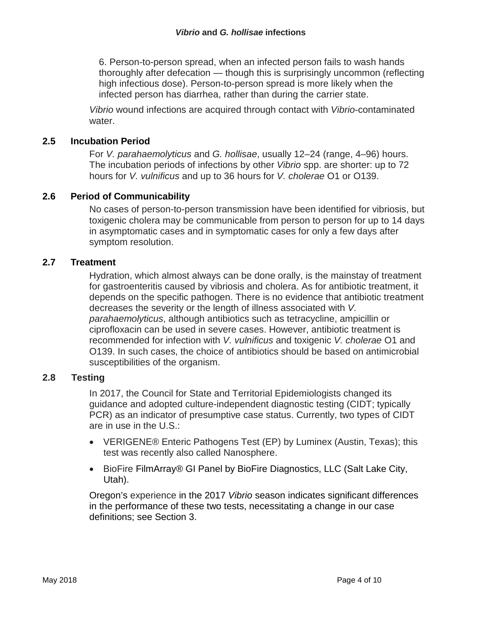6. Person-to-person spread, when an infected person fails to wash hands thoroughly after defecation — though this is surprisingly uncommon (reflecting high infectious dose). Person-to-person spread is more likely when the infected person has diarrhea, rather than during the carrier state.

*Vibrio* wound infections are acquired through contact with *Vibrio*-contaminated water.

# **2.5 Incubation Period**

For *V. parahaemolyticus* and *G. hollisae*, usually 12–24 (range, 4–96) hours. The incubation periods of infections by other *Vibrio* spp. are shorter: up to 72 hours for *V. vulnificus* and up to 36 hours for *V. cholerae* O1 or O139.

## **2.6 Period of Communicability**

No cases of person-to-person transmission have been identified for vibriosis, but toxigenic cholera may be communicable from person to person for up to 14 days in asymptomatic cases and in symptomatic cases for only a few days after symptom resolution.

## **2.7 Treatment**

Hydration, which almost always can be done orally, is the mainstay of treatment for gastroenteritis caused by vibriosis and cholera. As for antibiotic treatment, it depends on the specific pathogen. There is no evidence that antibiotic treatment decreases the severity or the length of illness associated with *V. parahaemolyticus*, although antibiotics such as tetracycline, ampicillin or ciprofloxacin can be used in severe cases. However, antibiotic treatment is recommended for infection with *V. vulnificus* and toxigenic *V. cholerae* O1 and O139. In such cases, the choice of antibiotics should be based on antimicrobial susceptibilities of the organism.

## **2.8 Testing**

In 2017, the Council for State and Territorial Epidemiologists changed its guidance and adopted culture-independent diagnostic testing (CIDT; typically PCR) as an indicator of presumptive case status. Currently, two types of CIDT are in use in the U.S.:

- VERIGENE® Enteric Pathogens Test (EP) by Luminex (Austin, Texas); this test was recently also called Nanosphere.
- BioFire FilmArray® GI Panel by BioFire Diagnostics, LLC (Salt Lake City, Utah).

Oregon's experience in the 2017 *Vibrio* season indicates significant differences in the performance of these two tests, necessitating a change in our case definitions; see Section 3.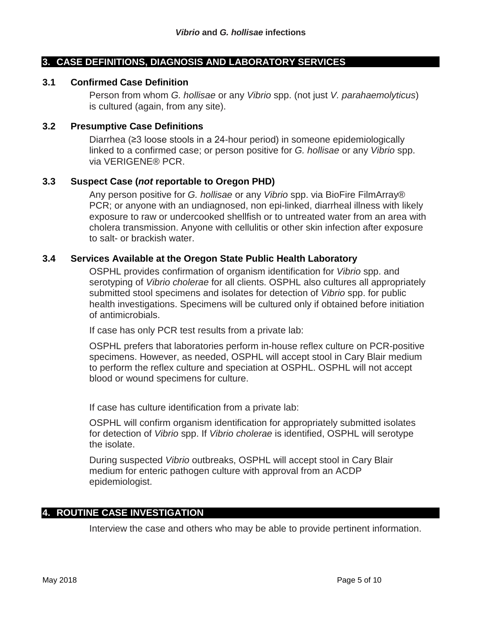#### **3. CASE DEFINITIONS, DIAGNOSIS AND LABORATORY SERVICES**

#### **3.1 Confirmed Case Definition**

Person from whom *G. hollisae* or any *Vibrio* spp. (not just *V. parahaemolyticus*) is cultured (again, from any site).

#### **3.2 Presumptive Case Definitions**

Diarrhea (≥3 loose stools in a 24-hour period) in someone epidemiologically linked to a confirmed case; or person positive for *G. hollisae* or any *Vibrio* spp. via VERIGENE® PCR.

#### **3.3 Suspect Case (***not* **reportable to Oregon PHD)**

Any person positive for *G. hollisae* or any *Vibrio* spp. via BioFire FilmArray® PCR; or anyone with an undiagnosed, non epi-linked, diarrheal illness with likely exposure to raw or undercooked shellfish or to untreated water from an area with cholera transmission. Anyone with cellulitis or other skin infection after exposure to salt- or brackish water.

#### **3.4 Services Available at the Oregon State Public Health Laboratory**

OSPHL provides confirmation of organism identification for *Vibrio* spp. and serotyping of *Vibrio cholerae* for all clients. OSPHL also cultures all appropriately submitted stool specimens and isolates for detection of *Vibrio* spp. for public health investigations. Specimens will be cultured only if obtained before initiation of antimicrobials.

If case has only PCR test results from a private lab:

OSPHL prefers that laboratories perform in-house reflex culture on PCR-positive specimens. However, as needed, OSPHL will accept stool in Cary Blair medium to perform the reflex culture and speciation at OSPHL. OSPHL will not accept blood or wound specimens for culture.

If case has culture identification from a private lab:

OSPHL will confirm organism identification for appropriately submitted isolates for detection of *Vibrio* spp. If *Vibrio cholerae* is identified, OSPHL will serotype the isolate.

During suspected *Vibrio* outbreaks, OSPHL will accept stool in Cary Blair medium for enteric pathogen culture with approval from an ACDP epidemiologist.

#### **4. ROUTINE CASE INVESTIGATION**

Interview the case and others who may be able to provide pertinent information.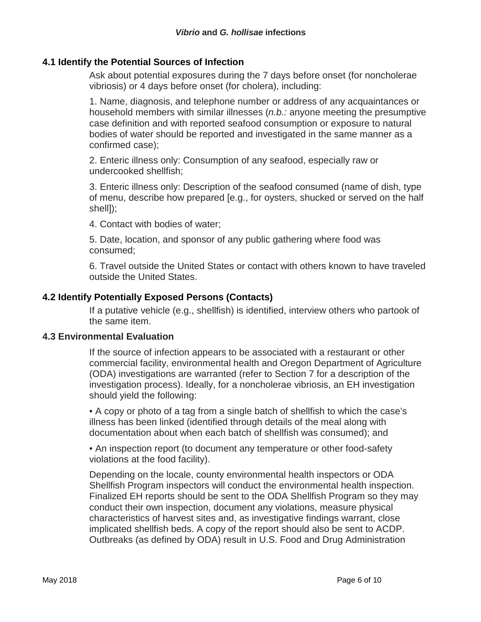## **4.1 Identify the Potential Sources of Infection**

Ask about potential exposures during the 7 days before onset (for noncholerae vibriosis) or 4 days before onset (for cholera), including:

1. Name, diagnosis, and telephone number or address of any acquaintances or household members with similar illnesses (*n.b.:* anyone meeting the presumptive case definition and with reported seafood consumption or exposure to natural bodies of water should be reported and investigated in the same manner as a confirmed case);

2. Enteric illness only: Consumption of any seafood, especially raw or undercooked shellfish;

3. Enteric illness only: Description of the seafood consumed (name of dish, type of menu, describe how prepared [e.g., for oysters, shucked or served on the half shell]);

4. Contact with bodies of water;

5. Date, location, and sponsor of any public gathering where food was consumed;

6. Travel outside the United States or contact with others known to have traveled outside the United States.

## **4.2 Identify Potentially Exposed Persons (Contacts)**

If a putative vehicle (e.g., shellfish) is identified, interview others who partook of the same item.

## **4.3 Environmental Evaluation**

If the source of infection appears to be associated with a restaurant or other commercial facility, environmental health and Oregon Department of Agriculture (ODA) investigations are warranted (refer to Section 7 for a description of the investigation process). Ideally, for a noncholerae vibriosis, an EH investigation should yield the following:

• A copy or photo of a tag from a single batch of shellfish to which the case's illness has been linked (identified through details of the meal along with documentation about when each batch of shellfish was consumed); and

• An inspection report (to document any temperature or other food-safety violations at the food facility).

Depending on the locale, county environmental health inspectors or ODA Shellfish Program inspectors will conduct the environmental health inspection. Finalized EH reports should be sent to the ODA Shellfish Program so they may conduct their own inspection, document any violations, measure physical characteristics of harvest sites and, as investigative findings warrant, close implicated shellfish beds. A copy of the report should also be sent to ACDP. Outbreaks (as defined by ODA) result in U.S. Food and Drug Administration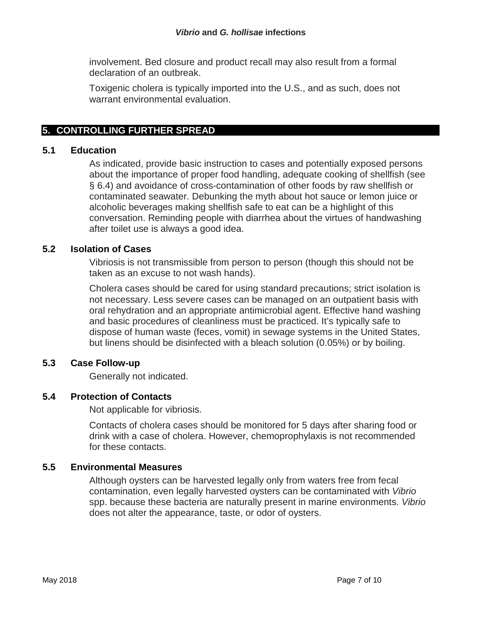involvement. Bed closure and product recall may also result from a formal declaration of an outbreak.

Toxigenic cholera is typically imported into the U.S., and as such, does not warrant environmental evaluation.

# **5. CONTROLLING FURTHER SPREAD**

## **5.1 Education**

As indicated, provide basic instruction to cases and potentially exposed persons about the importance of proper food handling, adequate cooking of shellfish (see § 6.4) and avoidance of cross-contamination of other foods by raw shellfish or contaminated seawater. Debunking the myth about hot sauce or lemon juice or alcoholic beverages making shellfish safe to eat can be a highlight of this conversation. Reminding people with diarrhea about the virtues of handwashing after toilet use is always a good idea.

## **5.2 Isolation of Cases**

Vibriosis is not transmissible from person to person (though this should not be taken as an excuse to not wash hands).

Cholera cases should be cared for using standard precautions; strict isolation is not necessary. Less severe cases can be managed on an outpatient basis with oral rehydration and an appropriate antimicrobial agent. Effective hand washing and basic procedures of cleanliness must be practiced. It's typically safe to dispose of human waste (feces, vomit) in sewage systems in the United States, but linens should be disinfected with a bleach solution (0.05%) or by boiling.

# **5.3 Case Follow-up**

Generally not indicated.

## **5.4 Protection of Contacts**

Not applicable for vibriosis.

Contacts of cholera cases should be monitored for 5 days after sharing food or drink with a case of cholera. However, chemoprophylaxis is not recommended for these contacts.

## **5.5 Environmental Measures**

Although oysters can be harvested legally only from waters free from fecal contamination, even legally harvested oysters can be contaminated with *Vibrio* spp. because these bacteria are naturally present in marine environments. *Vibrio* does not alter the appearance, taste, or odor of oysters.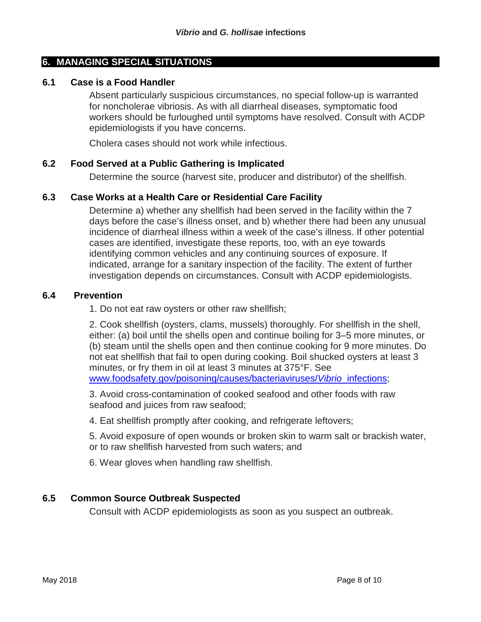## **6. MANAGING SPECIAL SITUATIONS**

#### **6.1 Case is a Food Handler**

Absent particularly suspicious circumstances, no special follow-up is warranted for noncholerae vibriosis. As with all diarrheal diseases, symptomatic food workers should be furloughed until symptoms have resolved. Consult with ACDP epidemiologists if you have concerns.

Cholera cases should not work while infectious.

#### **6.2 Food Served at a Public Gathering is Implicated**

Determine the source (harvest site, producer and distributor) of the shellfish.

#### **6.3 Case Works at a Health Care or Residential Care Facility**

Determine a) whether any shellfish had been served in the facility within the 7 days before the case's illness onset, and b) whether there had been any unusual incidence of diarrheal illness within a week of the case's illness. If other potential cases are identified, investigate these reports, too, with an eye towards identifying common vehicles and any continuing sources of exposure. If indicated, arrange for a sanitary inspection of the facility. The extent of further investigation depends on circumstances. Consult with ACDP epidemiologists.

#### **6.4 Prevention**

1. Do not eat raw oysters or other raw shellfish;

2. Cook shellfish (oysters, clams, mussels) thoroughly. For shellfish in the shell, either: (a) boil until the shells open and continue boiling for 3–5 more minutes, or (b) steam until the shells open and then continue cooking for 9 more minutes. Do not eat shellfish that fail to open during cooking. Boil shucked oysters at least 3 minutes, or fry them in oil at least 3 minutes at 375°F. See [www.foodsafety.gov/poisoning/causes/bacteriaviruses/](http://www.foodsafety.gov/poisoning/causes/bacteriaviruses/vibrio_infections)*Vibrio*\_infections;

3. Avoid cross-contamination of cooked seafood and other foods with raw seafood and juices from raw seafood;

4. Eat shellfish promptly after cooking, and refrigerate leftovers;

5. Avoid exposure of open wounds or broken skin to warm salt or brackish water, or to raw shellfish harvested from such waters; and

6. Wear gloves when handling raw shellfish.

## **6.5 Common Source Outbreak Suspected**

Consult with ACDP epidemiologists as soon as you suspect an outbreak.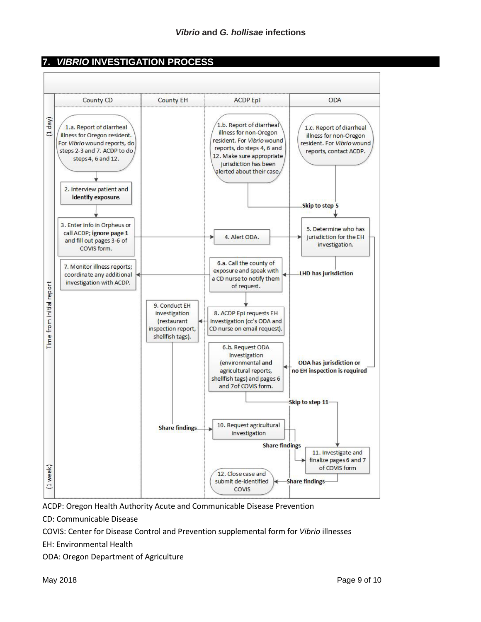# **7.** *VIBRIO* **INVESTIGATION PROCESS**



ACDP: Oregon Health Authority Acute and Communicable Disease Prevention

CD: Communicable Disease

COVIS: Center for Disease Control and Prevention supplemental form for *Vibrio* illnesses

EH: Environmental Health

ODA: Oregon Department of Agriculture